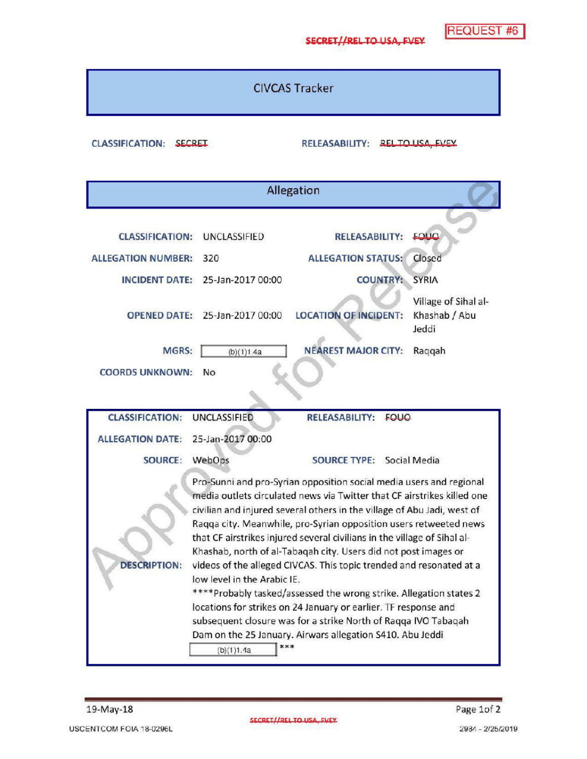**REQUEST #6** 

CIVCAS Tracker

CLASSIFICATION: SECRET RELEASABILITY: RELEASABILITY: RELEASABILITY: RELEASABILITY: RELEASA

| Allegation                                                                                                                                                                                                                                                                                                                                                                                                                                                                                                                                                                                                                                                                                                                                                                                                                                                       |                                                                             |                                                                                                                                     |                                                                                                   |  |
|------------------------------------------------------------------------------------------------------------------------------------------------------------------------------------------------------------------------------------------------------------------------------------------------------------------------------------------------------------------------------------------------------------------------------------------------------------------------------------------------------------------------------------------------------------------------------------------------------------------------------------------------------------------------------------------------------------------------------------------------------------------------------------------------------------------------------------------------------------------|-----------------------------------------------------------------------------|-------------------------------------------------------------------------------------------------------------------------------------|---------------------------------------------------------------------------------------------------|--|
| <b>CLASSIFICATION:</b><br><b>ALLEGATION NUMBER:</b><br><b>INCIDENT DATE:</b><br><b>OPENED DATE:</b><br>MGRS:                                                                                                                                                                                                                                                                                                                                                                                                                                                                                                                                                                                                                                                                                                                                                     | UNCLASSIFIED<br>320<br>25-Jan-2017 00:00<br>25-Jan-2017 00:00<br>(b)(1)1.4a | <b>RELEASABILITY:</b><br><b>ALLEGATION STATUS:</b><br><b>COUNTRY:</b><br><b>LOCATION OF INCIDENT:</b><br><b>NEAREST MAJOR CITY:</b> | <b>EQUO</b><br>Closed<br><b>SYRIA</b><br>Village of Sihal al-<br>Khashab / Abu<br>Jeddi<br>Raqqah |  |
| <b>COORDS UNKNOWN:</b>                                                                                                                                                                                                                                                                                                                                                                                                                                                                                                                                                                                                                                                                                                                                                                                                                                           | No                                                                          |                                                                                                                                     |                                                                                                   |  |
|                                                                                                                                                                                                                                                                                                                                                                                                                                                                                                                                                                                                                                                                                                                                                                                                                                                                  |                                                                             |                                                                                                                                     |                                                                                                   |  |
| <b>CLASSIFICATION:</b>                                                                                                                                                                                                                                                                                                                                                                                                                                                                                                                                                                                                                                                                                                                                                                                                                                           | <b>UNCLASSIFIED</b>                                                         | <b>RELEASABILITY:</b><br><b>FOUQ</b>                                                                                                |                                                                                                   |  |
| <b>ALLEGATION DATE:</b>                                                                                                                                                                                                                                                                                                                                                                                                                                                                                                                                                                                                                                                                                                                                                                                                                                          | 25-Jan-2017 00:00                                                           |                                                                                                                                     |                                                                                                   |  |
| <b>SOURCE:</b>                                                                                                                                                                                                                                                                                                                                                                                                                                                                                                                                                                                                                                                                                                                                                                                                                                                   | WebOps                                                                      | <b>SOURCE TYPE: Social Media</b>                                                                                                    |                                                                                                   |  |
| Pro-Sunni and pro-Syrian opposition social media users and regional<br>media outlets circulated news via Twitter that CF airstrikes killed one<br>civilian and injured several others in the village of Abu Jadi, west of<br>Ragga city. Meanwhile, pro-Syrian opposition users retweeted news<br>that CF airstrikes injured several civilians in the village of Sihal al-<br>Khashab, north of al-Tabaqah city. Users did not post images or<br><b>DESCRIPTION:</b><br>videos of the alleged CIVCAS. This topic trended and resonated at a<br>low level in the Arabic IE.<br>****Probably tasked/assessed the wrong strike. Allegation states 2<br>locations for strikes on 24 January or earlier. TF response and<br>subsequent closure was for a strike North of Raqqa IVO Tabaqah<br>Dam on the 25 January. Airwars allegation S410. Abu Jeddi<br>(b)(1)1.4a |                                                                             |                                                                                                                                     |                                                                                                   |  |